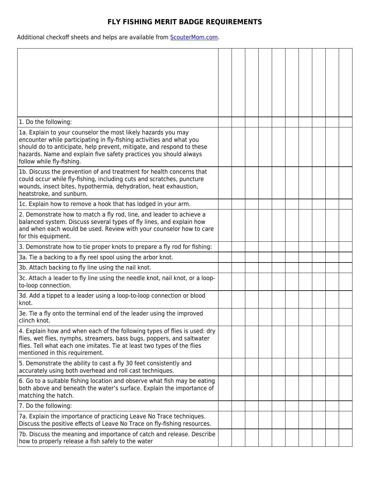## **FLY FISHING MERIT BADGE REQUIREMENTS**

Additional checkoff sheets and helps are available from **ScouterMom.com**.

| 1. Do the following:                                                                                                                                                                                                                                                                                             |  |  |  |  |  |
|------------------------------------------------------------------------------------------------------------------------------------------------------------------------------------------------------------------------------------------------------------------------------------------------------------------|--|--|--|--|--|
| 1a. Explain to your counselor the most likely hazards you may<br>encounter while participating in fly-fishing activities and what you<br>should do to anticipate, help prevent, mitigate, and respond to these<br>hazards. Name and explain five safety practices you should always<br>follow while fly-fishing. |  |  |  |  |  |
| 1b. Discuss the prevention of and treatment for health concerns that<br>could occur while fly-fishing, including cuts and scratches, puncture<br>wounds, insect bites, hypothermia, dehydration, heat exhaustion,<br>heatstroke, and sunburn.                                                                    |  |  |  |  |  |
| 1c. Explain how to remove a hook that has lodged in your arm.                                                                                                                                                                                                                                                    |  |  |  |  |  |
| 2. Demonstrate how to match a fly rod, line, and leader to achieve a<br>balanced system. Discuss several types of fly lines, and explain how<br>and when each would be used. Review with your counselor how to care<br>for this equipment.                                                                       |  |  |  |  |  |
| 3. Demonstrate how to tie proper knots to prepare a fly rod for fishing:                                                                                                                                                                                                                                         |  |  |  |  |  |
| 3a. Tie a backing to a fly reel spool using the arbor knot.                                                                                                                                                                                                                                                      |  |  |  |  |  |
| 3b. Attach backing to fly line using the nail knot.                                                                                                                                                                                                                                                              |  |  |  |  |  |
| 3c. Attach a leader to fly line using the needle knot, nail knot, or a loop-<br>to-loop connection.                                                                                                                                                                                                              |  |  |  |  |  |
| 3d. Add a tippet to a leader using a loop-to-loop connection or blood<br>knot.                                                                                                                                                                                                                                   |  |  |  |  |  |
| 3e. Tie a fly onto the terminal end of the leader using the improved<br>clinch knot.                                                                                                                                                                                                                             |  |  |  |  |  |
| 4. Explain how and when each of the following types of flies is used: dry<br>flies, wet flies, nymphs, streamers, bass bugs, poppers, and saltwater<br>flies. Tell what each one imitates. Tie at least two types of the flies<br>mentioned in this requirement.                                                 |  |  |  |  |  |
| 5. Demonstrate the ability to cast a fly 30 feet consistently and<br>accurately using both overhead and roll cast techniques.                                                                                                                                                                                    |  |  |  |  |  |
| 6. Go to a suitable fishing location and observe what fish may be eating<br>both above and beneath the water's surface. Explain the importance of<br>matching the hatch.                                                                                                                                         |  |  |  |  |  |
| 7. Do the following:                                                                                                                                                                                                                                                                                             |  |  |  |  |  |
| 7a. Explain the importance of practicing Leave No Trace techniques.<br>Discuss the positive effects of Leave No Trace on fly-fishing resources.                                                                                                                                                                  |  |  |  |  |  |
| 7b. Discuss the meaning and importance of catch and release. Describe<br>how to properly release a fish safely to the water                                                                                                                                                                                      |  |  |  |  |  |